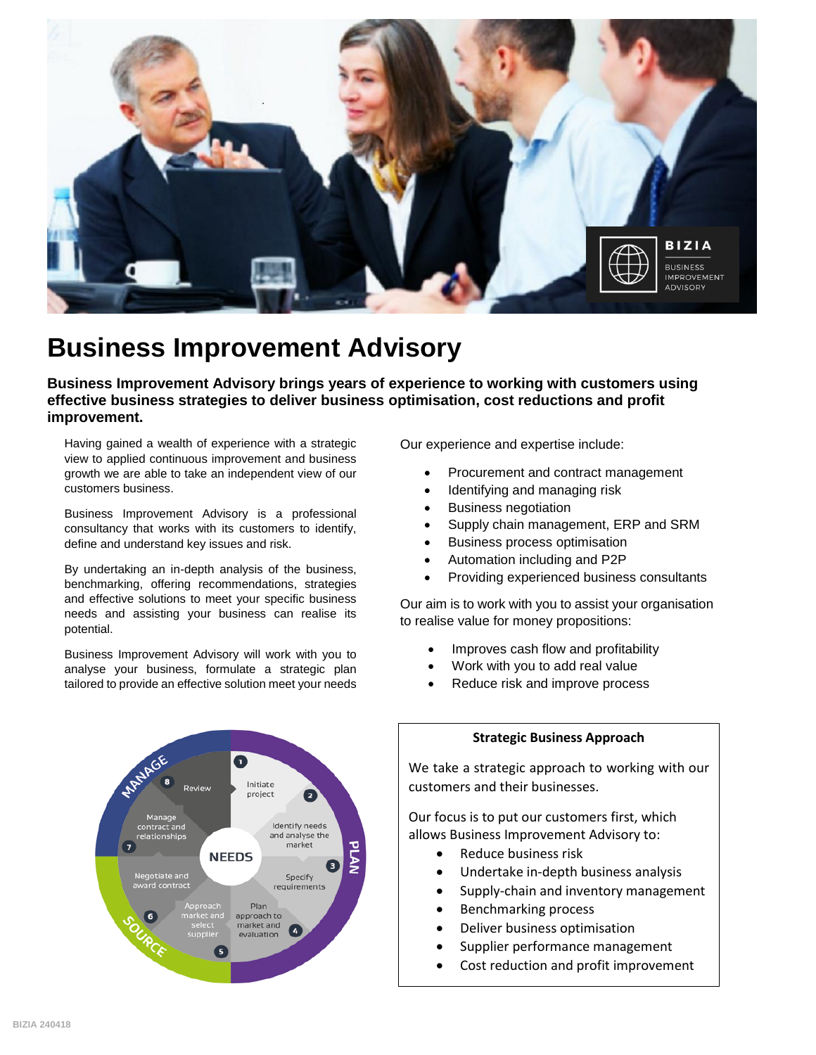

## **Business Improvement Advisory**

**Business Improvement Advisory brings years of experience to working with customers using effective business strategies to deliver business optimisation, cost reductions and profit improvement.**

Having gained a wealth of experience with a strategic view to applied continuous improvement and business growth we are able to take an independent view of our customers business.

Business Improvement Advisory is a professional consultancy that works with its customers to identify, define and understand key issues and risk.

By undertaking an in-depth analysis of the business, benchmarking, offering recommendations, strategies and effective solutions to meet your specific business needs and assisting your business can realise its potential.

Business Improvement Advisory will work with you to analyse your business, formulate a strategic plan tailored to provide an effective solution meet your needs

> Initiate project Manage<br>ontract and: Identify needs and analyse the market **NEEDS** Negotiate and<br>ward contract Specify requirements Plan approach to market and evaluation

Our experience and expertise include:

- Procurement and contract management
- Identifying and managing risk
- Business negotiation
- Supply chain management, ERP and SRM
- Business process optimisation
- Automation including and P2P
- Providing experienced business consultants

Our aim is to work with you to assist your organisation to realise value for money propositions:

- Improves cash flow and profitability
- Work with you to add real value
- Reduce risk and improve process



## **Strategic Business Approach**

We take a strategic approach to working with our customers and their businesses.

Our focus is to put our customers first, which allows Business Improvement Advisory to:

- Reduce business risk
- Undertake in-depth business analysis
- Supply-chain and inventory management
- Benchmarking process
- Deliver business optimisation
- Supplier performance management
- Cost reduction and profit improvement